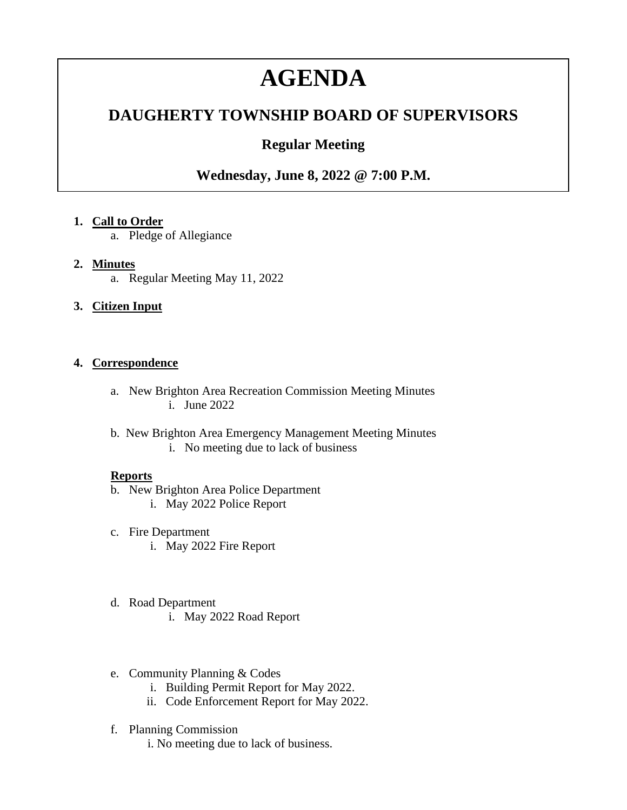# **AGENDA**

## **DAUGHERTY TOWNSHIP BOARD OF SUPERVISORS**

## **Regular Meeting**

### **Wednesday, June 8, 2022 @ 7:00 P.M.**

#### **1. Call to Order**

a. Pledge of Allegiance

#### **2. Minutes**

a. Regular Meeting May 11, 2022

#### **3. Citizen Input**

#### **4. Correspondence**

- a. New Brighton Area Recreation Commission Meeting Minutes i. June 2022
- b. New Brighton Area Emergency Management Meeting Minutes i. No meeting due to lack of business

#### **Reports**

- b. New Brighton Area Police Department
	- i. May 2022 Police Report
- c. Fire Department i. May 2022 Fire Report
- d. Road Department
	- i. May 2022 Road Report
- e. Community Planning & Codes
	- i. Building Permit Report for May 2022.
	- ii. Code Enforcement Report for May 2022.
- f. Planning Commission
	- i. No meeting due to lack of business.